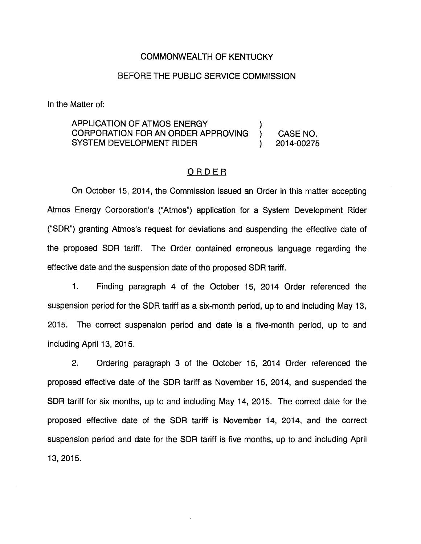## COMMONWEALTH OF KENTUCKY

## BEFORE THE PUBLIC SERVICE COMMISSION

In the Matter of:

## APPLICATION OF ATMOS ENERGY ) CORPORATION FOR AN ORDER APPROVING ) CASE NO. SYSTEM DEVELOPMENT RIDER (2014-00275)

## ORDER

On October 15, 2014, the Commission issued an Order in this matter accepting Atmos Energy Corporation's ("Atmos") application for a System Development Rider ("SDR") granting Atmos's request for deviations and suspending the effective date of the proposed SDR tariff. The Order contained erroneous language regarding the effective date and the suspension date of the proposed SDR tariff.

1. Finding paragraph 4 of the October 15, 2014 Order referenced the suspension period for the SDR tariff as a six-month period, up to and including May 13, 2015. The correct suspension period and date is a five-month period, up to and including April 13, 2015.

2. Ordering paragraph 3 of the October 15, 2014 Order referenced the proposed effective date of the SDR tariff as November 15, 2014, and suspended the SDR tariff for six months, up to and including May 14, 2015. The correct date for the proposed effective date of the SDR tariff is November 14, 2014, and the correct suspension period and date for the SDR tariff is five months, up to and including April 13, 2015.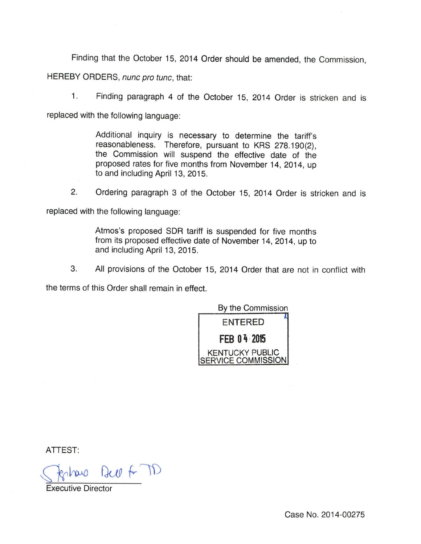Finding that the October 15, 2014 Order should be amended, the Commission,

HEREBY ORDERS, nunc pro tunc, that:

1. Finding paragraph 4 of the October 15, 2014 Order is stricken and is replaced with the following language:

> Additional inquiry is necessary to determine the tariff's reasonableness. Therefore, pursuant to KRS 278.190(2), the Commission will suspend the effective date of the proposed rates for five months from November 14, 2014, up to and including April 13, 2015.

2. Ordering paragraph 3 of the October 15, 2014 Order is stricken and is replaced with the following language:

> Atmos's proposed SDR tariff is suspended for five months from its proposed effective date of November 14, 2014, up to and including April 13, 2015.

3. All provisions of the October 15, 2014 Order that are not in conflict with

the terms of this Order shall remain in effect.



ATTEST:

how But A TD

Executive Director